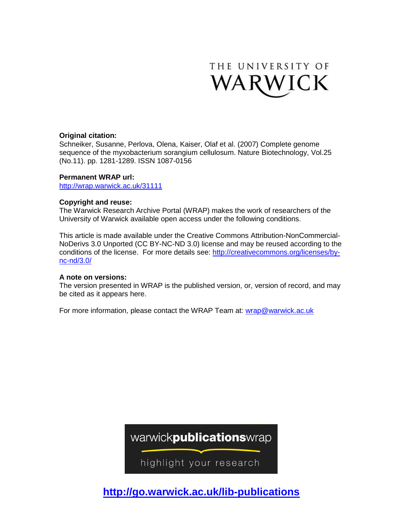

## **Original citation:**

Schneiker, Susanne, Perlova, Olena, Kaiser, Olaf et al. (2007) Complete genome sequence of the myxobacterium sorangium cellulosum. Nature Biotechnology, Vol.25 (No.11). pp. 1281-1289. ISSN 1087-0156

## **Permanent WRAP url:**

<http://wrap.warwick.ac.uk/31111>

## **Copyright and reuse:**

The Warwick Research Archive Portal (WRAP) makes the work of researchers of the University of Warwick available open access under the following conditions.

This article is made available under the Creative Commons Attribution-NonCommercial-NoDerivs 3.0 Unported (CC BY-NC-ND 3.0) license and may be reused according to the conditions of the license. For more details see: [http://creativecommons.org/licenses/by](http://creativecommons.org/licenses/by-nc-nd/3.0/)[nc-nd/3.0/](http://creativecommons.org/licenses/by-nc-nd/3.0/)

## **A note on versions:**

The version presented in WRAP is the published version, or, version of record, and may be cited as it appears here.

For more information, please contact the WRAP Team at: [wrap@warwick.ac.uk](mailto:wrap@warwick.ac.uk)

warwickpublicationswrap

highlight your research

**http://go.warwick.ac.uk/lib-publications**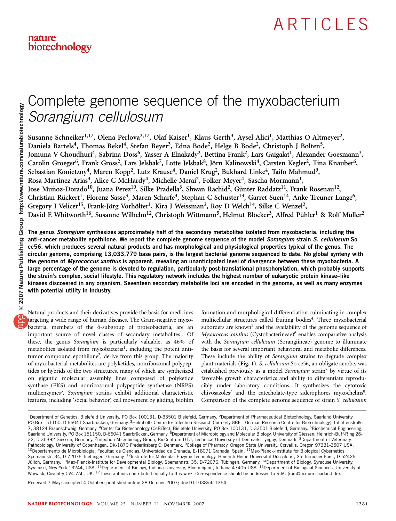## Complete genome sequence of the myxobacterium Sorangium cellulosum

Susanne Schneiker<sup>1,17</sup>, Olena Perlova<sup>2,17</sup>, Olaf Kaiser<sup>1</sup>, Klaus Gerth<sup>3</sup>, Aysel Alici<sup>1</sup>, Matthias O Altmeyer<sup>2</sup>, Daniela Bartels<sup>4</sup>, Thomas Bekel<sup>4</sup>, Stefan Beyer<sup>3</sup>, Edna Bode<sup>2</sup>, Helge B Bode<sup>2</sup>, Christoph J Bolten<sup>5</sup>, Jomuna V Choudhuri<sup>4</sup>, Sabrina Doss<sup>6</sup>, Yasser A Elnakady<sup>2</sup>, Bettina Frank<sup>2</sup>, Lars Gaigalat<sup>1</sup>, Alexander Goesmann<sup>3</sup>, Carolin Groeger<sup>6</sup>, Frank Gross<sup>2</sup>, Lars Jelsbak<sup>7</sup>, Lotte Jelsbak<sup>8</sup>, Jörn Kalinowski<sup>4</sup>, Carsten Kegler<sup>2</sup>, Tina Knauber<sup>6</sup>, Sebastian Konietzny<sup>4</sup>, Maren Kopp<sup>2</sup>, Lutz Krause<sup>4</sup>, Daniel Krug<sup>2</sup>, Bukhard Linke<sup>4</sup>, Taifo Mahmud<sup>9</sup>, Rosa Martinez-Arias<sup>3</sup>, Alice C McHardy<sup>4</sup>, Michelle Merai<sup>2</sup>, Folker Meyer<sup>4</sup>, Sascha Mormann<sup>1</sup>, Jose Muñoz-Dorado<sup>10</sup>, Juana Perez<sup>10</sup>, Silke Pradella<sup>3</sup>, Shwan Rachid<sup>2</sup>, Günter Raddatz<sup>11</sup>, Frank Rosenau<sup>12</sup>, Christian Rückert<sup>1</sup>, Florenz Sasse<sup>3</sup>, Maren Scharfe<sup>3</sup>, Stephan C Schuster<sup>13</sup>, Garret Suen<sup>14</sup>, Anke Treuner-Lange<sup>6</sup>, Gregory J Velicer<sup>15</sup>, Frank-Jörg Vorhölter<sup>1</sup>, Kira J Weissman<sup>2</sup>, Roy D Welch<sup>14</sup>, Silke C Wenzel<sup>2</sup>, David E Whitworth<sup>16</sup>, Susanne Wilhelm<sup>12</sup>, Christoph Wittmann<sup>5</sup>, Helmut Blöcker<sup>3</sup>, Alfred Pühler<sup>1</sup> & Rolf Müller<sup>2</sup>

The genus Sorangium synthesizes approximately half of the secondary metabolites isolated from myxobacteria, including the anti-cancer metabolite epothilone. We report the complete genome sequence of the model Sorangium strain S. cellulosum So ce56, which produces several natural products and has morphological and physiological properties typical of the genus. The circular genome, comprising 13,033,779 base pairs, is the largest bacterial genome sequenced to date. No global synteny with the genome of Myxococcus xanthus is apparent, revealing an unanticipated level of divergence between these myxobacteria. A large percentage of the genome is devoted to regulation, particularly post-translational phosphorylation, which probably supports the strain's complex, social lifestyle. This regulatory network includes the highest number of eukaryotic protein kinase–like kinases discovered in any organism. Seventeen secondary metabolite loci are encoded in the genome, as well as many enzymes with potential utility in industry.

Natural products and their derivatives provide the basis for medicines targeting a wide range of human diseases. The Gram-negative myxobacteria, members of the  $\delta$ -subgroup of proteobacteria, are an important source of novel classes of secondary metabolites<sup>1</sup>. Of these, the genus Sorangium is particularly valuable, as 46% of metabolites isolated from myxobacteria<sup>1</sup>, including the potent antitumor compound epothilon[e2](#page-9-0), derive from this group. The majority of myxobacterial metabolites are polyketides, nonribosomal polypeptides or hybrids of the two structures, many of which are synthesized on gigantic molecular assembly lines composed of polyketide synthase (PKS) and nonribosomal polypeptide synthetase (NRPS) multienzymes<sup>3</sup>. Sorangium strains exhibit additional characteristic features, including 'social behavior', cell movement by gliding, biofilm

formation and morphological differentiation culminating in complex multicellular structures called fruiting bodies<sup>4</sup>. Three myxobacterial suborders are known<sup>5</sup> and the availability of the genome sequence of  $Myxococcus$  xanthus (Cystobacterineae)<sup>6</sup> enables comparative analysis with the Sorangium cellulosum (Sorangiineae) genome to illuminate the basis for several important behavioral and metabolic differences. These include the ability of Sorangium strains to degrade complex plant materials (Fig. 1). S. cellulosum So ce56, an obligate aerobe, was established previously as a model Sorangium strain<sup>7</sup> by virtue of its favorable growth characteristics and ability to differentiate reproducibly under laboratory conditions. It synthesizes the cytotoxic chivosazoles<sup>7</sup> and the catecholate-type siderophores myxochelins<sup>8</sup>. Comparison of the complete genome sequence of strain S. cellulosum

Received 7 May; accepted 4 October; published online 28 October 2007; [doi:10.1038/nbt1354](http://www.nature.com/doifinder/10.1038/nbt1354)

<sup>&</sup>lt;sup>1</sup>Department of Genetics, Bielefeld University, PO Box 100131, D-33501 Bielefeld, Germany. <sup>2</sup>Department of Pharmaceutical Biotechnology, Saarland University, PO Box 151150, D-66041 Saarbrücken, Germany. <sup>3</sup>Helmholtz Centre for Infection Research (formerly GBF – German Research Centre for Biotechnology), Inhoffenstraße 7, 38124 Braunschweig, Germany. <sup>4</sup>Center for Biotechnology (CeBiTec), Bielefeld University, PO Box 100131, D-33501 Bielefeld, Germany. <sup>5</sup>Biochemical Engineering, Saarland University, PO Box 151150, D-66041 Saarbrücken, Germany. <sup>6</sup>Department of Microbiology and Molecular Biology, University of Giessen, Heinrich-Buff-Ring 26-32, D-35392 Giessen, Germany. <sup>7</sup>Infection Microbiology Group, BioCentrum-DTU, Technical University of Denmark, Lyngby, Denmark. <sup>8</sup>Department of Veterinary Pathobiology, University of Copenhagen, DK-1870 Frederiksberg C, Denmark. <sup>9</sup>College of Pharmacy, Oregon State University, Corvallis, Oregon 97331-3507 USA. 10Departamento de Microbiologia, Facultad de Ciencias, Universidad de Granada, E-18071 Granada, Spain. <sup>11</sup>Max-Planck-Institute for Biological Cybernetics, Spemannstr. 34, D-72076 Tuebingen, Germany. <sup>12</sup>Institute for Molecular Enzyme Technology, Heinrich-Heine-Universität Düsseldorf, Stetternicher Forst, D-52426 Jülich, Germany. <sup>13</sup>Max-Planck-Institute for Developmental Biology, Spemannstr. 35, D-72076, Tübingen, Germany. <sup>14</sup>Department of Biology, Syracuse University, Syracuse, New York 13244, USA. <sup>15</sup>Department of Biology, Indiana University, Bloomington, Indiana 47405 USA. <sup>16</sup>Department of Biological Sciences, University of Warwick, Coventry CV4 7AL, UK. 17These authors contributed equally to this work. Correspondence should be addressed to R.M. ([rom@mx.uni-saarland.de\)](mailto:rom@mx.uni-saarland.de).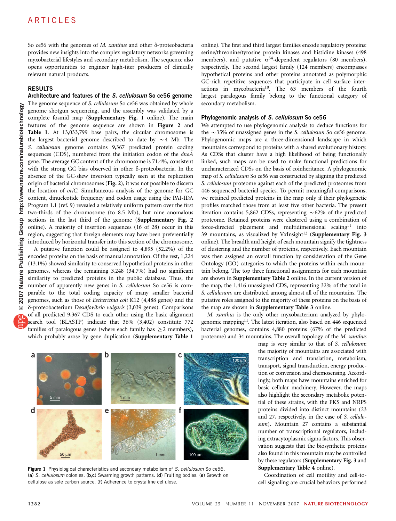So ce56 with the genomes of M. xanthus and other  $\delta$ -proteobacteria provides new insights into the complex regulatory networks governing myxobacterial lifestyles and secondary metabolism. The sequence also opens opportunities to engineer high-titer producers of clinically relevant natural products.

## RESULTS

#### Architecture and features of the S. cellulosum So ce56 genome

The genome sequence of S. cellulosum So ce56 was obtained by whole genome shotgun sequencing, and the assembly was validated by a complete fosmid map (Supplementary Fig. 1 online). The main features of the genome sequence are shown in Figure 2 and Table 1. At 13,033,799 base pairs, the circular chromosome is the largest bacterial genome described to date by  $\sim$  4 Mb. The S. cellulosum genome contains 9,367 predicted protein coding sequences (CDS), numbered from the initiation codon of the *dnaA* gene. The average GC content of the chromosome is 71.4%, consistent with the strong GC bias observed in other  $\delta$ -proteobacteria. In the absence of the GC-skew inversion typically seen at the replication origin of bacterial chromosomes (Fig. 2), it was not possible to discern the location of oriC. Simultaneous analysis of the genome for GC content, dinucleotide frequency and codon usage using the PAI-IDA Program 1.1 (ref. 9) revealed a relatively uniform pattern over the first two-thirds of the chromosome (to 8.5 Mb), but nine anomalous sections in the last third of the genome (Supplementary Fig. 2 online). A majority of insertion sequences (16 of 28) occur in this region, suggesting that foreign elements may have been preferentially introduced by horizontal transfer into this section of the chromosome.

A putative function could be assigned to 4,895 (52.2%) of the encoded proteins on the basis of manual annotation. Of the rest, 1,224 (13.1%) showed similarity to conserved hypothetical proteins in other genomes, whereas the remaining 3,248 (34.7%) had no significant similarity to predicted proteins in the public database. Thus, the number of apparently new genes in S. cellulosum So ce56 is comparable to the total coding capacity of many smaller bacterial genomes, such as those of Escherichia coli K12 (4,488 genes) and the d-proteobacterium Desulfovibrio vulgaris (3,039 genes). Comparisons of all predicted 9,367 CDS to each other using the basic alignment search tool (BLASTP) indicate that 36% (3,402) constitute 772 families of paralogous genes (where each family has  $\geq$  2 members), which probably arose by gene duplication (Supplementary Table 1

**a** b

**defined by the contract of the contract of the contract of the contract of the contract of the contract of the contract of the contract of the contract of the contract of the contract of the contract of the contract of th** 

online). The first and third largest families encode regulatory proteins: serine/threonine/tyrosine protein kinases and histidine kinases (498 members), and putative  $\sigma^{54}$ -dependent regulators (80 members), respectively. The second largest family (124 members) encompasses hypothetical proteins and other proteins annotated as polymorphic GC-rich repetitive sequences that participate in cell surface interactions in mycobacteria<sup>10</sup>. The 63 members of the fourth largest paralogous family belong to the functional category of secondary metabolism.

### Phylogenomic analysis of S. cellulosum So ce56

We attempted to use phylogenomic analysis to deduce functions for the  $\sim$ 35% of unassigned genes in the S. cellulosum So ce56 genome. Phylogenomic maps are a three-dimensional landscape in which mountains correspond to proteins with a shared evolutionary history. As CDSs that cluster have a high likelihood of being functionally linked, such maps can be used to make functional predictions for uncharacterized CDSs on the basis of coinheritance. A phylogenomic map of S. cellulosum So ce56 was constructed by aligning the predicted S. cellulosum proteome against each of the predicted proteomes from 446 sequenced bacterial species. To permit meaningful comparisons, we retained predicted proteins in the map only if their phylogenetic profiles matched those from at least five other bacteria. The present iteration contains 5,862 CDSs, representing  $\sim$  62% of the predicted proteome. Retained proteins were clustered using a combination of force-directed placement and multidimensional scaling<sup>[11](#page-9-0)</sup> into 39 mountains, as visualized by  $VxInsight^{12}$  $VxInsight^{12}$  $VxInsight^{12}$  (Supplementary Fig. 3 online). The breadth and height of each mountain signify the tightness of clustering and the number of proteins, respectively. Each mountain was then assigned an overall function by consideration of the Gene Ontology (GO) categories to which the proteins within each mountain belong. The top three functional assignments for each mountain are shown in Supplementary Table 2 online. In the current version of the map, the 1,416 unassigned CDS, representing 32% of the total in S. cellulosum, are distributed among almost all of the mountains. The putative roles assigned to the majority of these proteins on the basis of the map are shown in Supplementary Table 3 online.

M. xanthus is the only other myxobacterium analyzed by phylo-genomic mapping<sup>[11](#page-9-0)</sup>. The latest iteration, also based on 446 sequenced bacterial genomes, contains 4,880 proteins (67% of the predicted proteome) and 34 mountains. The overall topology of the M. xanthus

 $\overline{100}$ 

map is very similar to that of S. cellulosum: the majority of mountains are associated with transcription and translation, metabolism, transport, signal transduction, energy production or conversion and chemosensing. Accordingly, both maps have mountains enriched for basic cellular machinery. However, the maps also highlight the secondary metabolic potential of these strains, with the PKS and NRPS proteins divided into distinct mountains (23 and 27, respectively, in the case of S. cellulosum). Mountain 27 contains a substantial number of transcriptional regulators, including extracytoplasmic sigma factors. This observation suggests that the biosynthetic proteins also found in this mountain may be controlled by these regulators (Supplementary Fig. 3 and Supplementary Table 4 online).

Coordination of cell motility and cell-tocell signaling are crucial behaviors performed



(a) S. cellulosum colonies. (b,c) Swarming growth patterns. (d) Fruiting bodies. (e) Growth on cellulose as sole carbon source. (f) Adherence to crystalline cellulose.

1 mm

5 mm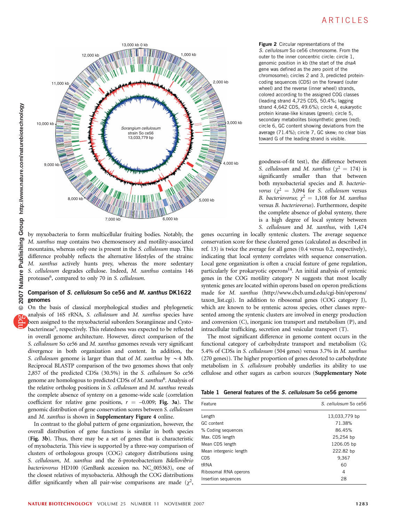

by myxobacteria to form multicellular fruiting bodies. Notably, the M. xanthus map contains two chemosensory and motility-associated mountains, whereas only one is present in the *S. cellulosum* map. This difference probably reflects the alternative lifestyles of the strains: M. xanthus actively hunts prey, whereas the more sedentary S. cellulosum degrades cellulose. Indeed, M. xanthus contains 146 proteases<sup>6</sup>, compared to only 70 in S. cellulosum.

### Comparison of S. cellulosum So ce56 and M. xanthus DK1622 genomes

On the basis of classical morphological studies and phylogenetic analysis of 16S rRNA, S. cellulosum and M. xanthus species have been assigned to the myxobacterial suborders Sorangiineae and Cystobacterineae<sup>5</sup>, respectively. This relatedness was expected to be reflected in overall genome architecture. However, direct comparison of the S. cellulosum So ce56 and M. xanthus genomes reveals very significant divergence in both organization and content. In addition, the S. cellulosum genome is larger than that of M. xanthus by  $\sim$  4 Mb. Reciprocal BLASTP comparison of the two genomes shows that only 2,857 of the predicted CDSs (30.5%) in the S. cellulosum So ce56 genome are homologous to predicted CDSs of M. xanthus<sup>6</sup>. Analysis of the relative ortholog positions in S. cellulosum and M. xanthus reveals the complete absence of synteny on a genome-wide scale (correlation coefficient for relative gene positions,  $r = -0.009$ ; Fig. 3a). The genomic distribution of gene conservation scores between S. cellulosum and M. xanthus is shown in **Supplementary Figure 4** online.

In contrast to the global pattern of gene organization, however, the overall distribution of gene functions is similar in both species (Fig. 3b). Thus, there may be a set of genes that is characteristic of myxobacteria. This view is supported by a three-way comparison of clusters of orthologous groups (COG) category distributions using S. cellulosum, M. xanthus and the  $\delta$ -proteobacterium Bdellovibrio bacteriovorus HD100 (GenBank accession no. NC\_005363), one of the closest relatives of myxobacteria. Although the COG distributions differ significantly when all pair-wise comparisons are made  $(\chi^2$ , Figure 2 Circular representations of the S. cellulosum So ce56 chromosome. From the outer to the inner concentric circle: circle 1, genomic position in kb (the start of the dnaA gene was defined as the zero point of the chromosome); circles 2 and 3, predicted proteincoding sequences (CDS) on the forward (outer wheel) and the reverse (inner wheel) strands, colored according to the assigned COG classes (leading strand 4,725 CDS, 50.4%; lagging strand 4,642 CDS, 49.6%); circle 4, eukaryotic protein kinase-like kinases (green); circle 5, secondary metabolites biosynthetic genes (red); circle 6, GC content showing deviations from the average (71.4%); circle 7, GC skew; no clear bias toward G of the leading strand is visible.

goodness-of-fit test), the difference between S. cellulosum and M. xanthus ( $\chi^2 = 174$ ) is significantly smaller than that between both myxobacterial species and B. bacteriovorus ( $\chi^2$  = 3,094 for S. cellulosum versus B. bacteriovorus;  $\chi^2 = 1,108$  for M. xanthus versus B. bacteriovorus). Furthermore, despite the complete absence of global synteny, there is a high degree of local synteny between S. cellulosum and M. xanthus, with 1,474

genes occurring in locally syntenic clusters. The average sequence conservation score for these clustered genes (calculated as described in ref. 13) is twice the average for all genes (0.4 versus 0.2, respectively), indicating that local synteny correlates with sequence conservation. Local gene organization is often a crucial feature of gene regulation, particularly for prokaryotic operons<sup>14</sup>. An initial analysis of syntenic genes in the COG motility category N suggests that most locally syntenic genes are located within operons based on operon predictions made for M. xanthus [\(http://www.cbcb.umd.edu/cgi-bin/operons/](http://www.cbcb.umd.edu/cgi-bin/operons/taxon_list.cgi) [taxon\\_list.cgi](http://www.cbcb.umd.edu/cgi-bin/operons/taxon_list.cgi)). In addition to ribosomal genes (COG category J), which are known to be syntenic across species, other classes represented among the syntenic clusters are involved in energy production and conversion (C), inorganic ion transport and metabolism (P), and intracellular trafficking, secretion and vesicular transport (T).

The most significant difference in genome content occurs in the functional category of carbohydrate transport and metabolism (G; 5.4% of CDSs in S. cellulosum (504 genes) versus 3.7% in M. xanthus (270 genes)). The higher proportion of genes devoted to carbohydrate metabolism in S. cellulosum probably underlies its ability to use cellulose and other sugars as carbon sources (Supplementary Note

|  |  |  |  |  | Table 1 General features of the S. cellulosum So ce56 genome |  |  |  |
|--|--|--|--|--|--------------------------------------------------------------|--|--|--|
|--|--|--|--|--|--------------------------------------------------------------|--|--|--|

| Feature                | S. cellulosum So ce56 |  |  |  |
|------------------------|-----------------------|--|--|--|
| Length                 | 13,033,779 bp         |  |  |  |
| GC content             | 71.38%                |  |  |  |
| % Coding sequences     | 86.45%                |  |  |  |
| Max. CDS length        | 25,254 bp             |  |  |  |
| Mean CDS length        | 1206.05 bp            |  |  |  |
| Mean intergenic length | 222.82 bp             |  |  |  |
| <b>CDS</b>             | 9,367                 |  |  |  |
| tRNA                   | 60                    |  |  |  |
| Ribosomal RNA operons  | 4                     |  |  |  |
| Insertion sequences    | 28                    |  |  |  |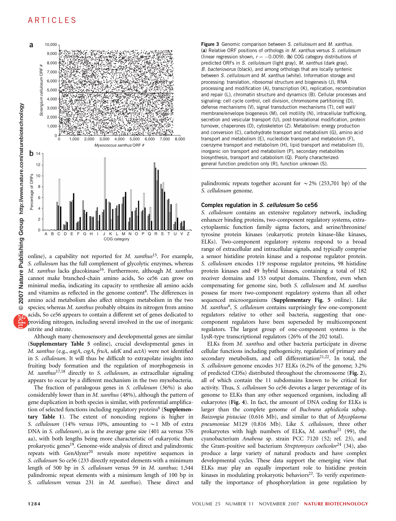

online), a capability not reported for  $M$ . xanthus<sup>[15](#page-9-0)</sup>. For example, S. cellulosum has the full complement of glycolytic enzymes, whereas M. xanthus lacks glucokinase<sup>16</sup>. Furthermore, although M. xanthus cannot make branched-chain amino acids, So ce56 can grow on minimal media, indicating its capacity to synthesize all amino acids and vitamins as reflected in the genome content<sup>4</sup>. The differences in amino acid metabolism also affect nitrogen metabolism in the two species; whereas M. xanthus probably obtains its nitrogen from amino acids, So ce56 appears to contain a different set of genes dedicated to providing nitrogen, including several involved in the use of inorganic nitrite and nitrate.

Although many chemosensory and developmental genes are similar (Supplementary Table 5 online), crucial developmental genes in M. xanthus (e.g., asgA, csgA, fruA, sdeK and actA) were not identified in S. cellulosum. It will thus be difficult to extrapolate insights into fruiting body formation and the regulation of morphogenesis in M. xanthus<sup>[17,18](#page-9-0)</sup> directly to S. cellulosum, as extracellular signaling appears to occur by a different mechanism in the two myxobacteria.

The fraction of paralogous genes in S. cellulosum (36%) is also considerably lower than in M. xanthus (48%), although the pattern of gene duplication in both species is similar, with preferential amplification of selected functions including regulatory proteins<sup>6</sup> (Supplementary Table 1). The extent of noncoding regions is higher in S. cellulosum (14% versus 10%, amounting to  $\sim$  1 Mb of extra DNA in S. cellulosum), as is the average gene size (401 aa versus 376 aa), with both lengths being more characteristic of eukaryotic than prokaryotic genes<sup>19</sup>. Genome-wide analysis of direct and palindromic repeats with GenAlyzer<sup>[20](#page-9-0)</sup> reveals more repetitive sequences in S. cellulosum So ce56 (233 directly repeated elements with a minimum length of 500 bp in S. cellulosum versus 59 in M. xanthus; 1,544 palindromic repeat elements with a minimum length of 100 bp in S. cellulosum versus 231 in M. xanthus). These direct and

Figure 3 Genomic comparison between S. cellulosum and M. xanthus. (a) Relative ORF positions of orthologs in M. xanthus versus S. cellulosum (linear regression shown,  $r = -0.009$ ). (b) COG category distributions of predicted ORFs in S. cellulosum (light gray), M. xanthus (dark gray), B. bacteriovorus (black), and among orthologs that are locally syntenic between S. cellulosum and M. xanthus (white). Information storage and processing: translation, ribosomal structure and biogenesis (J), RNA processing and modification (A), transcription (K), replication, recombination and repair (L), chromatin structure and dynamics (B). Cellular processes and signaling: cell cycle control, cell division, chromosome partitioning (D), defense mechanisms (V), signal transduction mechanisms (T), cell wall/ membrane/envelope biogenesis (M), cell motility (N), intracellular trafficking, secretion and vesicular transport (U), post-translational modification, protein turnover, chaperones (O), cytoskeleton (Z). Metabolism: energy production and conversion (C), carbohydrate transport and metabolism (G), amino acid transport and metabolism (E), nucleotide transport and metabolism (F), coenzyme transport and metabolism (H), lipid transport and metabolism (I), inorganic ion transport and metabolism (P), secondary metabolites biosynthesis, transport and catabolism (Q). Poorly characterized: general function prediction only (R), function unknown (S).

palindromic repeats together account for  $\sim$  2% (253,701 bp) of the S. cellulosum genome.

#### Complex regulation in S. cellulosum So ce56

S. cellulosum contains an extensive regulatory network, including enhancer binding proteins, two-component regulatory systems, extracytoplasmic function family sigma factors, and serine/threonine/ tyrosine protein kinases (eukaryotic protein kinase–like kinases, ELKs). Two-component regulatory systems respond to a broad range of extracellular and intracellular signals, and typically comprise a sensor histidine protein kinase and a response regulator protein. S. cellulosum encodes 119 response regulator proteins, 98 histidine protein kinases and 49 hybrid kinases, containing a total of 182 receiver domains and 153 output domains. Therefore, even when compensating for genome size, both S. cellulosum and M. xanthus possess far more two-component regulatory systems than all other sequenced microorganisms (Supplementary Fig. 5 online). Like M. xanthus<sup>[6](#page-9-0)</sup>, S. cellulosum contains surprisingly few one-component regulators relative to other soil bacteria, suggesting that onecomponent regulators have been superseded by multicomponent regulators. The largest group of one-component systems is the LysR-type transcriptional regulators (26% of the 202 total).

ELKs from M. xanthus and other bacteria participate in diverse cellular functions including pathogenicity, regulation of primary and secondary metabolism, and cell differentiation<sup>21,22</sup>. In total, the S. cellulosum genome encodes 317 ELKs (6.2% of the genome; 3.2% of predicted CDSs) distributed throughout the chromosome (Fig. 2), all of which contain the 11 subdomains known to be critical for activity. Thus, S. cellulosum So ce56 devotes a larger percentage of its genome to ELKs than any other sequenced organism, including all eukaryotes (Fig. 4). In fact, the amount of DNA coding for ELKs is larger than the complete genome of Buchnera aphidicola subsp. Baizongia pistaciae (0.616 Mb), and similar to that of Mycoplasma pneumoniae M129 (0.816 Mb). Like S. cellulosum, three other prokaryotes with high numbers of ELKs, M. xanthus<sup>[21](#page-9-0)</sup> (99), the cyanobacterium Anabena sp. strain PCC 7120 (52; ref. 23), and the Gram-positive soil bacterium Streptomyces coelicolor<sup>[24](#page-9-0)</sup> (34), also produce a large variety of natural products and have complex developmental cycles. These data support the emerging view that ELKs may play an equally important role to histidine protein kinases in modulating prokaryotic behaviors<sup>22</sup>. To verify experimentally the importance of phosphorylation in gene regulation by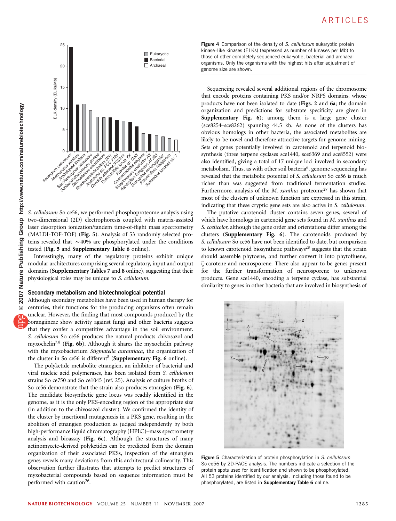

S. cellulosum So ce56, we performed phosphoproteome analysis using two-dimensional (2D) electrophoresis coupled with matrix-assisted laser desorption ionization/tandem time-of-flight mass spectrometry (MALDI-TOF-TOF) (Fig. 5). Analysis of 53 randomly selected proteins revealed that  $\sim$  40% are phosphorylated under the conditions tested (Fig. 5 and Supplementary Table 6 online).

Interestingly, many of the regulatory proteins exhibit unique modular architectures comprising several regulatory, input and output domains (Supplementary Tables 7 and 8 online), suggesting that their physiological roles may be unique to S. cellulosum.

#### Secondary metabolism and biotechnological potential

Although secondary metabolites have been used in human therapy for centuries, their functions for the producing organisms often remain unclear. However, the finding that most compounds produced by the Sorangiineae show activity against fungi and other bacteria suggests that they confer a competitive advantage in the soil environment. S. cellulosum So ce56 produces the natural products chivosazol and myxochelin<sup>[7,8](#page-9-0)</sup> (Fig. 6b). Although it shares the myxochelin pathway with the myxobacterium Stigmatella aurantiaca, the organization of the cluster in So ce56 is different<sup>[8](#page-9-0)</sup> (Supplementary Fig. 6 online).

The polyketide metabolite etnangien, an inhibitor of bacterial and viral nucleic acid polymerases, has been isolated from S. cellulosum strains So ce750 and So ce1045 (ref. 25). Analysis of culture broths of So ce56 demonstrate that the strain also produces etnangien (Fig. 6). The candidate biosynthetic gene locus was readily identified in the genome, as it is the only PKS-encoding region of the appropriate size (in addition to the chivosazol cluster). We confirmed the identity of the cluster by insertional mutagenesis in a PKS gene, resulting in the abolition of etnangien production as judged independently by both high-performance liquid chromatography (HPLC)–mass spectrometry analysis and bioassay (Fig. 6c). Although the structures of many actinomycete-derived polyketides can be predicted from the domain organization of their associated PKSs, inspection of the etnangien genes reveals many deviations from this architectural colinearity. This observation further illustrates that attempts to predict structures of myxobacterial compounds based on sequence information must be performed with caution<sup>26</sup>.

Figure 4 Comparison of the density of S. cellulosum eukaryotic protein kinase–like kinases (ELKs) (expressed as number of kinases per Mb) to those of other completely sequenced eukaryotic, bacterial and archaeal organisms. Only the organisms with the highest hits after adjustment of genome size are shown.

Sequencing revealed several additional regions of the chromosome that encode proteins containing PKS and/or NRPS domains, whose products have not been isolated to date (Figs. 2 and 6a; the domain organization and predictions for substrate specificity are given in Supplementary Fig. 6); among them is a large gene cluster (sce8254–sce8262) spanning 44.5 kb. As none of the clusters has obvious homologs in other bacteria, the associated metabolites are likely to be novel and therefore attractive targets for genome mining. Sets of genes potentially involved in carotenoid and terpenoid biosynthesis (three terpene cyclases sce1440, sce6369 and sce8552) were also identified, giving a total of 17 unique loci involved in secondary metabolism. Thus, as with other soil bacteria<sup>6</sup>, genome sequencing has revealed that the metabolic potential of S. cellulosum So ce56 is much richer than was suggested from traditional fermentation studies. Furthermore, analysis of the  $M$ . xanthus proteome<sup>27</sup> has shown that most of the clusters of unknown function are expressed in this strain, indicating that these cryptic gene sets are also active in S. cellulosum.

The putative carotenoid cluster contains seven genes, several of which have homologs in cartenoid gene sets found in M. xanthus and S. coelicolor, although the gene order and orientations differ among the clusters (Supplementary Fig. 6). The carotenoids produced by S. cellulosum So ce56 have not been identified to date, but comparison to known carotenoid biosynthetic pathways<sup>28</sup> suggests that the strain should assemble phytoene, and further convert it into phytofluene, z-carotene and neurosporene. There also appear to be genes present for the further transformation of neurosporene to unknown products. Gene sce1440, encoding a terpene cyclase, has substantial similarity to genes in other bacteria that are involved in biosynthesis of



Figure 5 Characterization of protein phosphorylation in S. cellulosum So ce56 by 2D-PAGE analysis. The numbers indicate a selection of the protein spots used for identification and shown to be phosphorylated. All 53 proteins identified by our analysis, including those found to be phosphorylated, are listed in Supplementary Table 6 online.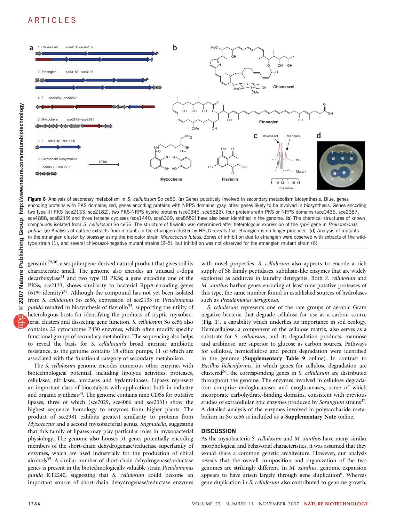

Figure 6 Analysis of secondary metabolism in S. cellulosum So ce56. (a) Genes putatively involved in secondary metabolism biosynthesis. Blue, genes encoding proteins with PKS domains; red, genes encoding proteins with NRPS domains; gray, other genes likely to be involved in biosynthesis. Genes encoding two type III PKS (sce2133, sce2182), two PKS-NRPS hybrid proteins (sce0345, sce6823), four proteins with PKS or NRPS domains (sce0436, sce2387, sce4888, sce8219) and three terpene cyclases (sce1440, sce6369, sce8552) have also been identified in the genome. (b) The chemical structures of known compounds isolated from S. cellulosum So ce56. The structure of flaviolin was determined after heterologous expression of the rppA gene in Pseudomonas putida. (c) Analysis of culture extracts from mutants in the etnangien cluster by HPLC reveals that etnangien is no longer produced. (d) Analysis of mutants in the etnangien cluster by bioassay using the indicator strain Micrococcus luteus. Zones of inhibition due to etnangien were observed with extracts of the wildtype strain (1), and several chivosazol-negative mutant strains (2–5), but inhibition was not observed for the etnangien mutant strain (6).

geosmin<sup>29,30</sup>, a sesquiterpene-derived natural product that gives soil its characteristic smell. The genome also encodes an unusual L-dopa decarboxylase<sup>[31](#page-9-0)</sup> and two type III PKSs; a gene encoding one of the PKSs, sce2133, shows similarity to bacterial RppA-encoding genes  $(61\%$  identity)<sup>[32](#page-9-0)</sup>. Although the compound has not yet been isolated from S. cellulosum So ce56, expression of sce2133 in Pseudomonas putida resulted in biosynthesis of flaviolin<sup>33</sup>, supporting the utility of heterologous hosts for identifying the products of cryptic myxobacterial clusters and dissecting gene function. S. cellulosum So ce56 also contains 22 cytochrome P450 enzymes, which often modify specific functional groups of secondary metabolites. The sequencing also helps to reveal the basis for S. cellulosum's broad intrinsic antibiotic resistance, as the genome contains 18 efflux pumps, 11 of which are associated with the functional category of secondary metabolism.

The S. cellulosum genome encodes numerous other enzymes with biotechnological potential, including lipolytic activities, proteases, cellulases, nitrilases, amidases and hydantoinases. Lipases represent an important class of biocatalysts with applications both in industry and organic synthesis<sup>34</sup>. The genome contains nine CDSs for putative lipases, three of which (sce7029, sce4066 and sce2331) show the highest sequence homology to enzymes from higher plants. The product of sce2981 exhibits greatest similarity to proteins from Myxococcus and a second myxobacterial genus, Stigmatella, suggesting that this family of lipases may play particular roles in myxobacterial physiology. The genome also houses 51 genes potentially encoding members of the short-chain dehydrogenase/reductase superfamily of enzymes, which are used industrially for the production of chiral alcohols<sup>35</sup>. A similar number of short-chain dehydrogenase/reductase genes is present in the biotechnologically valuable strain Pseudomonas putida KT2240, suggesting that S. cellulosum could become an important source of short-chain dehydrogenase/reductase enzymes

with novel properties. S. cellulosum also appears to encode a rich supply of S8 family peptidases, subtilisin-like enzymes that are widely exploited as additives in laundry detergents. Both S. cellulosum and M. xanthus harbor genes encoding at least nine putative proteases of this type, the same number found in established sources of hydrolases such as Pseudomonas aeruginosa.

S. cellulosum represents one of the rare groups of aerobic Gram negative bacteria that degrade cellulose for use as a carbon source (Fig. 1), a capability which underlies its importance in soil ecology. Hemicellulose, a component of the cellulose matrix, also serves as a substrate for S. cellulosum, and its degradation products, mannose and arabinose, are superior to glucose as carbon sources. Pathways for cellulose, hemicellulose and pectin degradation were identified in the genome (Supplementary Table 9 online). In contrast to Bacillus licheniformis, in which genes for cellulose degradation are clustered<sup>36</sup>, the corresponding genes in S. cellulosum are distributed throughout the genome. The enzymes involved in cellulose degradation comprise endoglucanases and exoglucanases, some of which incorporate carbohydrate-binding domains, consistent with previous studies of extracellular lytic enzymes produced by Sorangium strains<sup>37</sup>. A detailed analysis of the enzymes involved in polysaccharide metabolism in So ce56 is included as a Supplementary Note online.

#### **DISCUSSION**

As the myxobacteria S. cellulosum and M. xanthus have many similar morphological and behavorial characteristics, it was assumed that they would share a common genetic architecture. However, our analysis reveals that the overall composition and organization of the two genomes are strikingly different. In M. xanthus, genomic expansion appears to have arisen largely through gene duplication<sup>6</sup>. Whereas gene duplication in S. cellulosum also contributed to genome growth,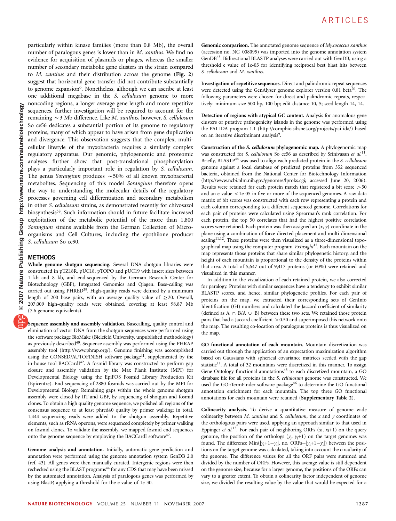particularly within kinase families (more than 0.8 Mb), the overall number of paralogous genes is lower than in *M. xanthus*. We find no evidence for acquisition of plasmids or phages, whereas the smaller number of secondary metabolic gene clusters in the strain compared to M. xanthus and their distribution across the genome (Fig. 2) suggest that horizontal gene transfer did not contribute substantially to genome expansion<sup>6</sup>. Nonetheless, although we can ascribe at least one additional megabase in the S. cellulosum genome to more noncoding regions, a longer average gene length and more repetitive sequences, further investigation will be required to account for the remaining  $\sim$  3 Mb difference. Like *M. xanthus*, however, *S. cellulosum* So ce56 dedicates a substantial portion of its genome to regulatory proteins, many of which appear to have arisen from gene duplication and divergence. This observation suggests that the complex, multicellular lifestyle of the myxobacteria requires a similarly complex regulatory apparatus. Our genomic, phylogenomic and proteomic analyses further show that post-translational phosphorylation plays a particularly important role in regulation by S. cellulosum. The genus Sorangium produces  $\sim$  50% of all known myxobacterial metabolites. Sequencing of this model Sorangium therefore opens the way to understanding the molecular details of the regulatory processes governing cell differentiation and secondary metabolism in other S. cellulosum strains, as demonstrated recently for chivosazol biosynthesis<sup>38</sup>. Such information should in future facilitate increased exploitation of the metabolic potential of the more than 1,800 Sorangium strains available from the German Collection of Microorganisms and Cell Cultures, including the epothilone producer S. cellulosum So ce90.

## **METHODS**

Whole genome shotgun sequencing. Several DNA shotgun libraries were constructed in pTZ18R, pUC18, pTOPO and pUC19 with insert sizes between 1 kb and 8 kb, and end-sequenced by the German Research Center for Biotechnology (GBF), Integrated Genomics and Qiagen. Base-calling was carried out using PHRED<sup>39</sup>. High-quality reads were defined by a minimum length of 200 base pairs, with an average quality value of  $\geq$  20. Overall, 207,009 high-quality reads were obtained, covering at least 98.87 Mb (7.6 genome equivalents).

Sequence assembly and assembly validation. Basecalling, quality control and elimination of vector DNA from the shotgun-sequences were performed using the software package BioMake (Bielefeld University, unpublished methodology) as previously described<sup>40</sup>. Sequence assembly was performed using the PHRAP assembly tool [\(http://www.phrap.org/\)](http://www.phrap.org/). Genome finishing was accomplished using the CONSED/AUTOFINISH software package<sup>41</sup>, supplemented by the in-house tool BACCardI<sup>42</sup>. A fosmid library was constructed to perform gap closure and assembly validation by the Max Plank Institute (MPI) for Developmental Biology using the EpiFOS Fosmid Library Production Kit (Epicentre). End-sequencing of 2880 fosmids was carried out by the MPI for Developmental Biology. Remaining gaps within the whole genome shotgun assembly were closed by IIT and GBF, by sequencing of shotgun and fosmid clones. To obtain a high quality genome sequence, we polished all regions of the consensus sequence to at least phred40 quality by primer walking; in total, 1,444 sequencing reads were added to the shotgun assembly. Repetitive elements, such as rRNA operons, were sequenced completely by primer walking on fosmid clones. To validate the assembly, we mapped fosmid end sequences onto the genome sequence by employing the BACCardI software<sup>[42](#page-9-0)</sup>.

Genome analysis and annotation. Initially, automatic gene prediction and annotation were performed using the genome annotation system GenDB 2.0 (ref. 43). All genes were then manually curated. Intergenic regions were then rechecked using the BLAST programs<sup>44</sup> for any CDS that may have been missed by the automated annotation. Analysis of paralogous genes was performed by using BlastP, applying a threshold for the e value of 1e-30.

Genomic comparison. The annotated genome sequence of Myxococcus xanthus (accession no. NC\_008095) was imported into the genome annotation system GenD[B43.](#page-9-0) Bidirectional BLASTP analyses were carried out with GenDB, using a threshold e value of 1e-05 for identifying reciprocal best blast hits between S. cellulosum and M. xanthus.

Investigation of repetitive sequences. Direct and palindromic repeat sequences were detected using the GenAlyzer genome explorer version 0.81 beta<sup>20</sup>. The following parameters were chosen for direct and palindromic repeats, respectively: minimum size 500 bp, 100 bp; edit distance 10, 5; seed length 14, 14.

Detection of regions with atypical GC content. Analysis for anomalous gene clusters or putative pathogenicity islands in the genome was performed using the PAI-IDA program 1.1 ([http://compbio.sibsnet.org/projects/pai-ida/\)](http://compbio.sibsnet.org/projects/pai-ida/) based on an iterative discriminant analysis<sup>9</sup>.

Construction of the S. cellulosum phylogenomic map. A phylogenomic map was constructed for S. cellulosum So ce56 as described by Srinivasan et  $al.$ <sup>[11](#page-9-0)</sup>. Briefly, BLASTP<sup>[44](#page-9-0)</sup> was used to align each predicted protein in the S. cellulosum genome against a local database of predicted proteins from 352 sequenced bacteria, obtained from the National Center for Biotechnology Information ([http://www.ncbi.nlm.nih.gov/genomes/lproks.cgi;](http://www.ncbi.nlm.nih.gov/genomes/lproks.cgi) accessed June 20, 2006). Results were retained for each protein match that registered a bit score  $>$  50 and an e-value  $\langle$ 1e-05 in five or more of the sequenced genomes. A raw data matrix of bit scores was constructed with each row representing a protein and each column corresponding to a different sequenced genome. Correlations for each pair of proteins were calculated using Spearman's rank correlation. For each protein, the top 50 correlates that had the highest positive correlation scores were retained. Each protein was then assigned an  $(x, y)$  coordinate in the plane using a combination of force-directed placement and multi-dimensional scaling<sup>11,12</sup>. These proteins were then visualized as a three-dimensional topographical map using the computer program  $VxInsight^{12}$ . Each mountain on the map represents those proteins that share similar phylogenetic history, and the height of each mountain is proportional to the density of the proteins within that area. A total of 5,647 out of 9,417 proteins (or 60%) were retained and visualized in this manner.

In addition to the visualization of each retained protein, we also corrected for paralogy. Proteins with similar sequences have a tendency to exhibit similar BLASTP scores, and hence, similar phylogenetic profiles. For each pair of proteins on the map, we extracted their corresponding sets of GenInfo Identification (GI) numbers and calculated the Jaccard coefficient of similarity (defined as A  $\cap$  B/A  $\cup$  B) between these two sets. We retained those protein pairs that had a Jaccard coefficient  $> 0.50$  and superimposed this network onto the map. The resulting co-location of paralogous proteins is thus visualized on the map.

GO functional annotation of each mountain. Mountain discretization was carried out through the application of an expectation maximization algorithm based on Gaussians with spherical covariance matrices seeded with the gap statistic $^{11}$ . A total of 32 mountains were discretized in this manner. To assign Gene Ontology functional annotations<sup>[45](#page-9-0)</sup> to each discretized mountain, a GO database file for all proteins in the S. cellulosum genome was constructed. We used the GO::TermFinder software package<sup>46</sup> to determine the GO functional annotation enrichment for each mountain. The top three GO functional annotations for each mountain were retained (Supplementary Table 2).

Colinearity analysis. To derive a quantitative measure of genome wide colinearity between  $M$ . xanthus and  $S$ . cellulosum, the  $x$  and  $y$  coordinates of the orthologous pairs were used, applying an approach similar to that used in Eppinger et al.<sup>13</sup>. For each pair of neighboring ORFs ( $x_i$ ,  $x_i+1$ ) on the query genome, the position of the orthologs  $(y_j, y_j+1)$  on the target genomes was found. The difference  $Min(|y_i+1-y_i|,$  no.  $ORFs-|y_i+1-y_i|)$  between the positions on the target genome was calculated, taking into account the circularity of the genome. The difference values for all the ORF pairs were summed and divided by the number of ORFs. However, this average value is still dependent on the genome size, because for a larger genome, the positions of the ORFs can vary to a greater extent. To obtain a colinearity factor independent of genome size, we divided the resulting value by the value that would be expected for a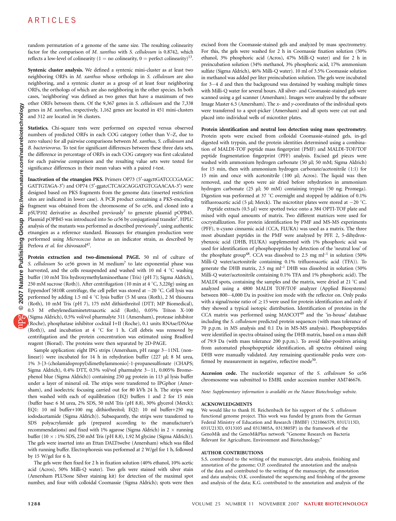random permutation of a genome of the same size. The resulting colinearity factor for the comparison of M. xanthus with S. cellulosum is 0.8742, which reflects a low-level of colinearity (1 = no colinearity, 0 = perfect colinearity)<sup>13</sup>.

Syntenic cluster analysis. We defined a syntenic mini-cluster as at least two neighboring ORFs in M. xanthus whose orthologs in S. cellulosum are also neighboring, and a syntenic cluster as a group of at least four neighboring ORFs, the orthologs of which are also neighboring in the other species. In both cases, 'neighboring' was defined as two genes that have a maximum of two other ORFs between them. Of the 9,367 genes in S. cellulosum and the 7,338 genes in M. xanthus, respectively, 1,162 genes are located in 451 mini-clusters and 312 are located in 56 clusters.

Statistics. Chi-square tests were performed on expected versus observed numbers of predicted ORFs in each COG category (other than V–Z, due to zero values) for all pairwise comparisons between M. xanthus, S. cellulosum and B. bacteriovorus. To test for significant differences between these three data sets, the difference in percentage of ORFs in each COG category was first calculated for each pairwise comparison and the resulting value sets were tested for significance differences in their mean values with a paired t-test.

Inactivation of the etnangien PKS. Primers OP73 (5'-aagcttGATCCCGAAGC GATTGTAGA-3') and OP74 (5'-ggatcCTCAGCAGGATGTCGAACAA-3') were designed based on PKS fragments from the genome data (inserted restriction sites are indicated in lower case). A PCR product containing a PKS-encoding fragment was obtained from the chromosome of So ce56, and cloned into a pSUP102 derivative as described previously<sup>7</sup> to generate plasmid pOPB45. Plasmid pOPB45 was introduced into So ce56 by conjugational transfe[r7.](#page-9-0) HPLC analysis of the mutants was performed as described previously<sup>7</sup>, using authentic etnangien as a reference standard. Bioassays for etnangien production were performed using Micrococcus luteus as an indicator strain, as described by Perlova et al. for chivosazol<sup>47</sup>.

Protein extraction and two-dimensional PAGE. 50 ml of culture of S. cellulosum So ce56 grown in M medium<sup>[7](#page-9-0)</sup> to late exponential phase was harvested, and the cells resuspended and washed with 10 ml 4  $\degree$ C washing buffer (10 mM Tris hydroxymethylaminoethane (Tris) (pH 7); Sigma Aldrich), 250 mM sucrose (Roth)). After centrifugation (10 min at 4  $\degree$ C, 3,220g) using an Eppendorf 5810R centrifuge, the cell pellet was stored at  $-20$  °C. Cell lysis was performed by adding 1.5 ml 4 °C lysis buffer (5 M urea (Roth), 2 M thiourea (Roth), 10 mM Tris (pH 7), 175 mM dithiothreitol (DTT; MP Biomedical), 0.5 M etheylenediaminetetraacetic acid (Roth), 0.05% Triton X-100 (Sigma Aldrich), 0.5% vol/vol pharmalyte 311 (Amersham), protease inhibitor (Roche), phosphatase inhibitor cocktail I+II (Roche), 0.1 units RNAse/DNAse (Roth)), and incubation at 4  $\degree$ C for 1 h. Cell debris was removed by centrifugation and the protein concentration was estimated using Bradford reagent (Biorad). The proteins were then separated by 2D-PAGE.

Sample application: eight IPG strips (Amersham, pH range 3-11NL (nonlinear)) were incubated for 14 h in rehydration buffer (227 µl; 8 M urea, 1% 3-[3-(cholamidopropyl)dimethylammonio]-1-propanesulfonate (CHAPS; Sigma Aldrich), 0.4% DTT, 0.5% vol/vol pharmalyte  $3-11$ , 0.005% Bromophenol blue (Sigma Aldrich)) containing 250 µg protein in 113 µl lysis buffer under a layer of mineral oil. The strips were transferred to IPGphor (Amersham), and isoelectric focusing carried out for 80 kVh 24 h. The strips were then washed with each of equilibration (EQ) buffers 1 and 2 for 15 min (buffer base: 6 M urea, 2% SDS, 50 mM Tris (pH 8.8), 30% glycerol (Merck); EQ1: 10 ml buffer+100 mg dithiothreitol; EQ2: 10 ml buffer+250 mg iododacetamide (Sigma Aldrich)). Subsequently, the strips were transferred to SDS polyacrylamide gels (prepared according to the manufacturer's recommendations) and fixed with 1% agarose (Sigma Aldrich) in  $2 \times$  running buffer  $(10 \times : 1\%$  SDS, 250 mM Tris (pH 8.8), 1.92 M glycine (Sigma Aldrich)). The gels were inserted into an Ettan DALTtwelve (Amersham) which was filled with running buffer. Electrophoresis was performed at 2 W/gel for 1 h, followed by 15 W/gel for 6 h.

The gels were then fixed for 2 h in fixation solution (40% ethanol, 10% acetic acid (Acros), 50% Milli-Q water). Two gels were stained with silver stain (Amersham PLUSone Silver staining kit) for detection of the maximal spot number, and four with colloidal Coomassie (Sigma Aldrich); spots were then

excised from the Coomassie-stained gels and analyzed by mass spectrometry. For this, the gels were washed for 2 h in Coomassie fixation solution (50% ethanol, 3% phosphoric acid (Acros), 47% Milli-Q water) and for 2 h in preincubation solution (34% methanol, 3% phosphoric acid, 17% ammonium sulfate (Sigma Aldrich), 46% Milli-Q water). 10 ml of 3.5% Coomassie solution in methanol was added per liter preincubation solution. The gels were incubated for  $3-4$  d and then the background was destained by washing multiple times with Milli-Q water for several hours. All silver- and Coomassie-stained gels were scanned using a gel scanner (Amersham). Images were analyzed by the software Image Master 6.5 (Amersham). The  $x$ - and  $y$ -coordinates of the individual spots were transferred to a spot-picker (Amersham) and all spots were cut out and placed into individual wells of microtiter plates.

#### Protein identification and neutral loss detection using mass spectrometry. Protein spots were excised from colloidal Coomassie-stained gels, in-gel digested with trypsin, and the protein identities determined using a combination of MALDI-TOF peptide mass fingerprint (PMF) and MALDI-TOF/TOF peptide fragmentation fingerprint (PFF) analysis. Excised gel pieces were washed with ammonium hydrogen carbonate (50 µl; 50 mM; Sigma Aldrich) for 15 min, then with ammonium hydrogen carbonate/acetonitrile (1:1) for 15 min and once with acetonitrile (100 µl; Acros). The liquid was then removed, and the spots were air dried before rehydration in ammonium hydrogen carbonate (25 µl; 50 mM) containing trypsin (50 ng; Promega). Digestion was performed at 37  $\degree$ C overnight and stopped by addition of 0.1% trifluoroacetic acid (5 µl; Merck). The microtiter plates were stored at  $-20$  °C.

Peptide extracts (0.5 µl) were spotted twice onto a 384 OPTI-TOF plate and mixed with equal amounts of matrix. Two different matrices were used for cocrystallization. For protein identification by PMF and MS-MS experiments (PFF), a-cyano cinnamic acid (CCA, FLUKA) was used as a matrix. The three most abundant peptides in the PMF were analyzed by PFF. 2, 5-dihydroxybenzoic acid (DHB, FLUKA) supplemented with 1% phosphoric acid was used for identification of phosphopeptides by detection of the 'neutral loss' of the phosphate group<sup>[48](#page-9-0)</sup>. CCA was dissolved to 2.5 mg  $ml^{-1}$  in solution (50%) Milli-Q water/acetonitrile containing 0.1% trifluoroacetic acid (TFA)). To generate the DHB matrix, 2.5 mg ml–1 DHB was dissolved in solution (50% Milli-Q water/acetonitrile containing 0.1% TFA and 1% phosphoric acid). The MALDI spots, containing the samples and the matrix, were dried at 21  $^{\circ}$ C and analyzed using a 4800 MALDI TOF/TOF analyzer (Applied Biosystems) between 800-4,000 Da in positive ion mode with the reflector on. Only peaks with a signal/noise ratio of  $\geq$  15 were used for protein identification and only if they showed a typical isotopic distribution. Identification of proteins in the CCA matrix was performed using  $MASCOT<sup>49</sup>$  $MASCOT<sup>49</sup>$  $MASCOT<sup>49</sup>$  and the 'in-house' database including the S. cellulosum predicted protein sequences (with mass tolerance of 70 p.p.m. in MS analysis and 0.1 Da in MS-MS analysis). Phosphopeptides were identified in spectra obtained using the DHB matrix, based on a mass shift of 79.9 Da (with mass tolerance 200 p.p.m.). To avoid false-positives arising from automated phosphopeptide identification, all spectra obtained using DHB were manually validated. Any remaining questionable peaks were confirmed by measurement in negative, reflective mode<sup>50</sup>.

Accession code. The nucleotide sequence of the S. cellulosum So ce56 chromosome was submitted to EMBL under accession number AM746676.

Note: Supplementary information is available on the [Nature Biotechnology](http://www.nature.com/naturebiotechnology) website.

#### ACKNOWLEDGMENTS

We would like to thank H. Reichenbach for his support of the S. cellulosum functional genome project. This work was funded by grants from the German Federal Ministry of Education and Research (BMBF) (321066579, 031U113D, 031U213D, 0313105 and 0313805A, 0313805P) in the framework of the GenoMik and the GenoMikPlus network ''Genome Research on Bacteria Relevant for Agriculture, Environment and Biotechnology.''

#### AUTHOR CONTRIBUTIONS

S.S. contributed to the writing of the manuscript, data analysis, finishing and annotation of the genome; O.P. coordinated the annotation and the analysis of the data and contributed to the writing of the manuscript, the annotation and data analysis; O.K. coordinated the sequencing and finishing of the genome and analysis of the data; K.G. contributed to the annotation and analysis of the